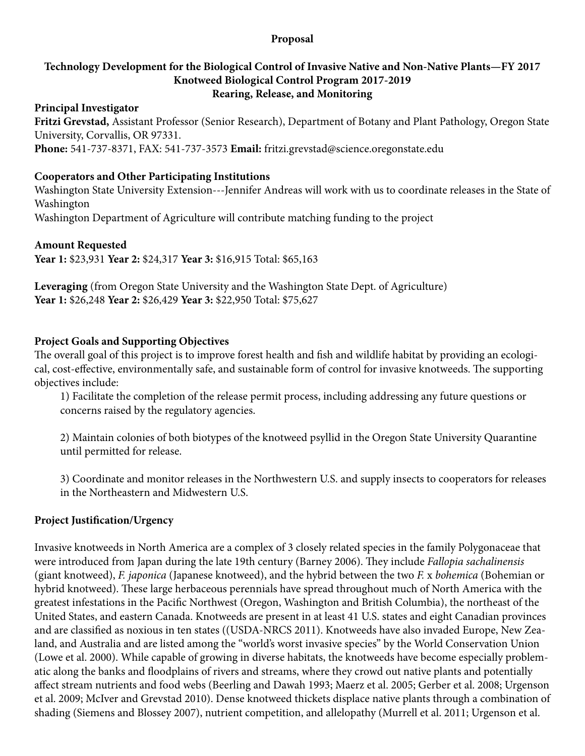#### **Proposal**

#### **Technology Development for the Biological Control of Invasive Native and Non-Native Plants—FY 2017 Knotweed Biological Control Program 2017-2019 Rearing, Release, and Monitoring**

#### **Principal Investigator**

**Fritzi Grevstad,** Assistant Professor (Senior Research), Department of Botany and Plant Pathology, Oregon State University, Corvallis, OR 97331.

**Phone:** 541-737-8371, FAX: 541-737-3573 **Email:** fritzi.grevstad@science.oregonstate.edu

#### **Cooperators and Other Participating Institutions**

Washington State University Extension---Jennifer Andreas will work with us to coordinate releases in the State of Washington

Washington Department of Agriculture will contribute matching funding to the project

## **Amount Requested**

**Year 1:** \$23,931 **Year 2:** \$24,317 **Year 3:** \$16,915 Total: \$65,163

**Leveraging** (from Oregon State University and the Washington State Dept. of Agriculture) **Year 1:** \$26,248 **Year 2:** \$26,429 **Year 3:** \$22,950 Total: \$75,627

## **Project Goals and Supporting Objectives**

The overall goal of this project is to improve forest health and fish and wildlife habitat by providing an ecological, cost-effective, environmentally safe, and sustainable form of control for invasive knotweeds. The supporting objectives include:

1) Facilitate the completion of the release permit process, including addressing any future questions or concerns raised by the regulatory agencies.

2) Maintain colonies of both biotypes of the knotweed psyllid in the Oregon State University Quarantine until permitted for release.

3) Coordinate and monitor releases in the Northwestern U.S. and supply insects to cooperators for releases in the Northeastern and Midwestern U.S.

#### **Project Justification/Urgency**

Invasive knotweeds in North America are a complex of 3 closely related species in the family Polygonaceae that were introduced from Japan during the late 19th century (Barney 2006). They include *Fallopia sachalinensis* (giant knotweed), *F. japonica* (Japanese knotweed), and the hybrid between the two *F.* x *bohemica* (Bohemian or hybrid knotweed). These large herbaceous perennials have spread throughout much of North America with the greatest infestations in the Pacific Northwest (Oregon, Washington and British Columbia), the northeast of the United States, and eastern Canada. Knotweeds are present in at least 41 U.S. states and eight Canadian provinces and are classified as noxious in ten states ((USDA-NRCS 2011). Knotweeds have also invaded Europe, New Zealand, and Australia and are listed among the "world's worst invasive species" by the World Conservation Union (Lowe et al. 2000). While capable of growing in diverse habitats, the knotweeds have become especially problematic along the banks and floodplains of rivers and streams, where they crowd out native plants and potentially affect stream nutrients and food webs (Beerling and Dawah 1993; Maerz et al. 2005; Gerber et al. 2008; Urgenson et al. 2009; McIver and Grevstad 2010). Dense knotweed thickets displace native plants through a combination of shading (Siemens and Blossey 2007), nutrient competition, and allelopathy (Murrell et al. 2011; Urgenson et al.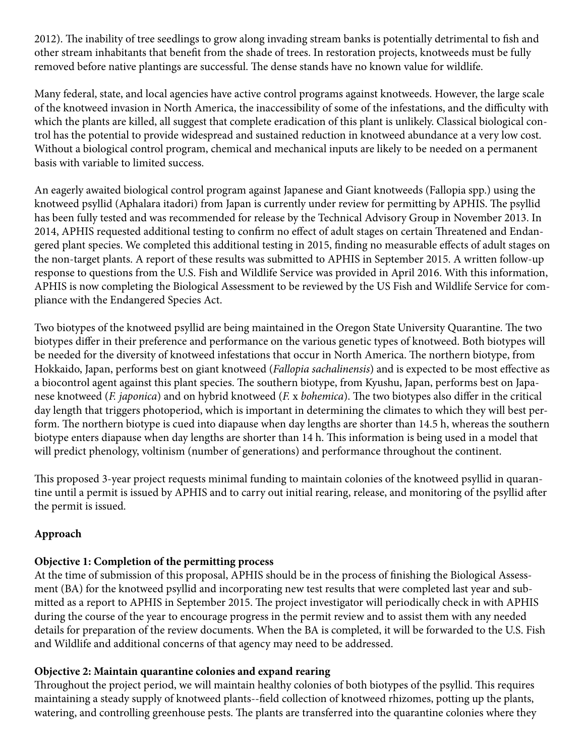2012). The inability of tree seedlings to grow along invading stream banks is potentially detrimental to fish and other stream inhabitants that benefit from the shade of trees. In restoration projects, knotweeds must be fully removed before native plantings are successful. The dense stands have no known value for wildlife.

Many federal, state, and local agencies have active control programs against knotweeds. However, the large scale of the knotweed invasion in North America, the inaccessibility of some of the infestations, and the difficulty with which the plants are killed, all suggest that complete eradication of this plant is unlikely. Classical biological control has the potential to provide widespread and sustained reduction in knotweed abundance at a very low cost. Without a biological control program, chemical and mechanical inputs are likely to be needed on a permanent basis with variable to limited success.

An eagerly awaited biological control program against Japanese and Giant knotweeds (Fallopia spp.) using the knotweed psyllid (Aphalara itadori) from Japan is currently under review for permitting by APHIS. The psyllid has been fully tested and was recommended for release by the Technical Advisory Group in November 2013. In 2014, APHIS requested additional testing to confirm no effect of adult stages on certain Threatened and Endangered plant species. We completed this additional testing in 2015, finding no measurable effects of adult stages on the non-target plants. A report of these results was submitted to APHIS in September 2015. A written follow-up response to questions from the U.S. Fish and Wildlife Service was provided in April 2016. With this information, APHIS is now completing the Biological Assessment to be reviewed by the US Fish and Wildlife Service for compliance with the Endangered Species Act.

Two biotypes of the knotweed psyllid are being maintained in the Oregon State University Quarantine. The two biotypes differ in their preference and performance on the various genetic types of knotweed. Both biotypes will be needed for the diversity of knotweed infestations that occur in North America. The northern biotype, from Hokkaido, Japan, performs best on giant knotweed (*Fallopia sachalinensis*) and is expected to be most effective as a biocontrol agent against this plant species. The southern biotype, from Kyushu, Japan, performs best on Japanese knotweed (*F. japonica*) and on hybrid knotweed (*F.* x *bohemica*). The two biotypes also differ in the critical day length that triggers photoperiod, which is important in determining the climates to which they will best perform. The northern biotype is cued into diapause when day lengths are shorter than 14.5 h, whereas the southern biotype enters diapause when day lengths are shorter than 14 h. This information is being used in a model that will predict phenology, voltinism (number of generations) and performance throughout the continent.

This proposed 3-year project requests minimal funding to maintain colonies of the knotweed psyllid in quarantine until a permit is issued by APHIS and to carry out initial rearing, release, and monitoring of the psyllid after the permit is issued.

## **Approach**

## **Objective 1: Completion of the permitting process**

At the time of submission of this proposal, APHIS should be in the process of finishing the Biological Assessment (BA) for the knotweed psyllid and incorporating new test results that were completed last year and submitted as a report to APHIS in September 2015. The project investigator will periodically check in with APHIS during the course of the year to encourage progress in the permit review and to assist them with any needed details for preparation of the review documents. When the BA is completed, it will be forwarded to the U.S. Fish and Wildlife and additional concerns of that agency may need to be addressed.

## **Objective 2: Maintain quarantine colonies and expand rearing**

Throughout the project period, we will maintain healthy colonies of both biotypes of the psyllid. This requires maintaining a steady supply of knotweed plants--field collection of knotweed rhizomes, potting up the plants, watering, and controlling greenhouse pests. The plants are transferred into the quarantine colonies where they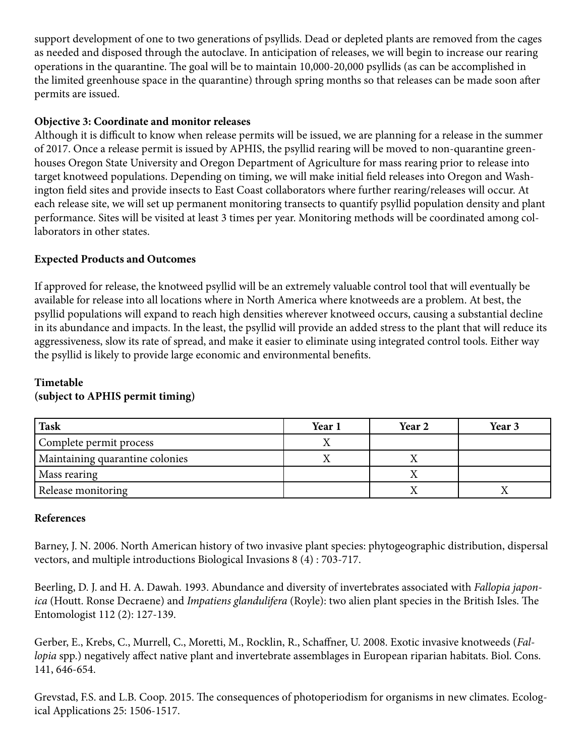support development of one to two generations of psyllids. Dead or depleted plants are removed from the cages as needed and disposed through the autoclave. In anticipation of releases, we will begin to increase our rearing operations in the quarantine. The goal will be to maintain 10,000-20,000 psyllids (as can be accomplished in the limited greenhouse space in the quarantine) through spring months so that releases can be made soon after permits are issued.

## **Objective 3: Coordinate and monitor releases**

Although it is difficult to know when release permits will be issued, we are planning for a release in the summer of 2017. Once a release permit is issued by APHIS, the psyllid rearing will be moved to non-quarantine greenhouses Oregon State University and Oregon Department of Agriculture for mass rearing prior to release into target knotweed populations. Depending on timing, we will make initial field releases into Oregon and Washington field sites and provide insects to East Coast collaborators where further rearing/releases will occur. At each release site, we will set up permanent monitoring transects to quantify psyllid population density and plant performance. Sites will be visited at least 3 times per year. Monitoring methods will be coordinated among collaborators in other states.

## **Expected Products and Outcomes**

If approved for release, the knotweed psyllid will be an extremely valuable control tool that will eventually be available for release into all locations where in North America where knotweeds are a problem. At best, the psyllid populations will expand to reach high densities wherever knotweed occurs, causing a substantial decline in its abundance and impacts. In the least, the psyllid will provide an added stress to the plant that will reduce its aggressiveness, slow its rate of spread, and make it easier to eliminate using integrated control tools. Either way the psyllid is likely to provide large economic and environmental benefits.

#### **Timetable (subject to APHIS permit timing)**

| <b>Task</b>                     | Year 1 | Year 2 | Year 3 |
|---------------------------------|--------|--------|--------|
| Complete permit process         |        |        |        |
| Maintaining quarantine colonies |        |        |        |
| Mass rearing                    |        |        |        |
| Release monitoring              |        |        |        |

#### **References**

Barney, J. N. 2006. North American history of two invasive plant species: phytogeographic distribution, dispersal vectors, and multiple introductions Biological Invasions 8 (4) : 703-717.

Beerling, D. J. and H. A. Dawah. 1993. Abundance and diversity of invertebrates associated with *Fallopia japonica* (Houtt. Ronse Decraene) and *Impatiens glandulifera* (Royle): two alien plant species in the British Isles. The Entomologist 112 (2): 127-139.

Gerber, E., Krebs, C., Murrell, C., Moretti, M., Rocklin, R., Schaffner, U. 2008. Exotic invasive knotweeds (*Fallopia* spp.) negatively affect native plant and invertebrate assemblages in European riparian habitats. Biol. Cons. 141, 646-654.

Grevstad, F.S. and L.B. Coop. 2015. The consequences of photoperiodism for organisms in new climates. Ecological Applications 25: 1506-1517.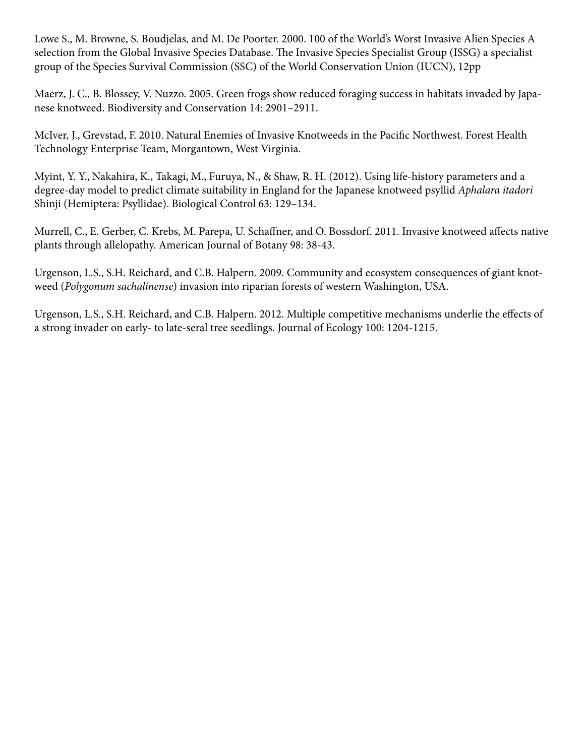Lowe S., M. Browne, S. Boudjelas, and M. De Poorter. 2000. 100 of the World's Worst Invasive Alien Species A selection from the Global Invasive Species Database. The Invasive Species Specialist Group (ISSG) a specialist group of the Species Survival Commission (SSC) of the World Conservation Union (IUCN), 12pp

Maerz, J. C., B. Blossey, V. Nuzzo. 2005. Green frogs show reduced foraging success in habitats invaded by Japanese knotweed. Biodiversity and Conservation 14: 2901–2911.

McIver, J., Grevstad, F. 2010. Natural Enemies of Invasive Knotweeds in the Pacific Northwest. Forest Health Technology Enterprise Team, Morgantown, West Virginia.

Myint, Y. Y., Nakahira, K., Takagi, M., Furuya, N., & Shaw, R. H. (2012). Using life-history parameters and a degree-day model to predict climate suitability in England for the Japanese knotweed psyllid *Aphalara itadori*  Shinji (Hemiptera: Psyllidae). Biological Control 63: 129–134.

Murrell, C., E. Gerber, C. Krebs, M. Parepa, U. Schaffner, and O. Bossdorf. 2011. Invasive knotweed affects native plants through allelopathy. American Journal of Botany 98: 38-43.

Urgenson, L.S., S.H. Reichard, and C.B. Halpern. 2009. Community and ecosystem consequences of giant knotweed (*Polygonum sachalinense*) invasion into riparian forests of western Washington, USA.

Urgenson, L.S., S.H. Reichard, and C.B. Halpern. 2012. Multiple competitive mechanisms underlie the effects of a strong invader on early- to late-seral tree seedlings. Journal of Ecology 100: 1204-1215.